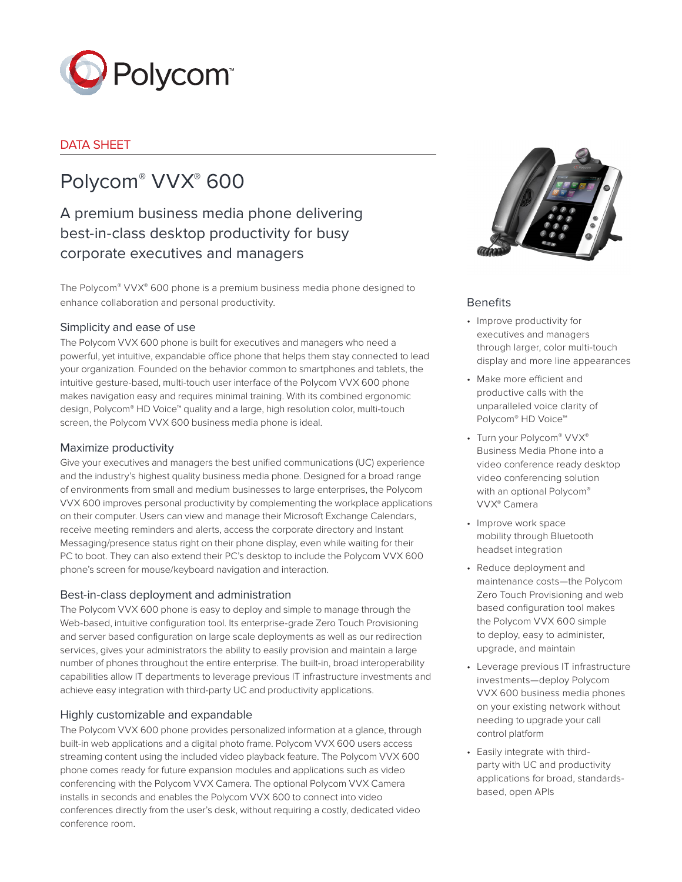

# DATA SHEET

# Polycom® VVX® 600

A premium business media phone delivering best-in-class desktop productivity for busy corporate executives and managers

The Polycom® VVX® 600 phone is a premium business media phone designed to enhance collaboration and personal productivity.

# Simplicity and ease of use

The Polycom VVX 600 phone is built for executives and managers who need a powerful, yet intuitive, expandable office phone that helps them stay connected to lead your organization. Founded on the behavior common to smartphones and tablets, the intuitive gesture-based, multi-touch user interface of the Polycom VVX 600 phone makes navigation easy and requires minimal training. With its combined ergonomic design, Polycom® HD Voice™ quality and a large, high resolution color, multi-touch screen, the Polycom VVX 600 business media phone is ideal.

# Maximize productivity

Give your executives and managers the best unified communications (UC) experience and the industry's highest quality business media phone. Designed for a broad range of environments from small and medium businesses to large enterprises, the Polycom VVX 600 improves personal productivity by complementing the workplace applications on their computer. Users can view and manage their Microsoft Exchange Calendars, receive meeting reminders and alerts, access the corporate directory and Instant Messaging/presence status right on their phone display, even while waiting for their PC to boot. They can also extend their PC's desktop to include the Polycom VVX 600 phone's screen for mouse/keyboard navigation and interaction.

# Best-in-class deployment and administration

The Polycom VVX 600 phone is easy to deploy and simple to manage through the Web-based, intuitive configuration tool. Its enterprise-grade Zero Touch Provisioning and server based configuration on large scale deployments as well as our redirection services, gives your administrators the ability to easily provision and maintain a large number of phones throughout the entire enterprise. The built-in, broad interoperability capabilities allow IT departments to leverage previous IT infrastructure investments and achieve easy integration with third-party UC and productivity applications.

# Highly customizable and expandable

The Polycom VVX 600 phone provides personalized information at a glance, through built-in web applications and a digital photo frame. Polycom VVX 600 users access streaming content using the included video playback feature. The Polycom VVX 600 phone comes ready for future expansion modules and applications such as video conferencing with the Polycom VVX Camera. The optional Polycom VVX Camera installs in seconds and enables the Polycom VVX 600 to connect into video conferences directly from the user's desk, without requiring a costly, dedicated video conference room.



# **Benefits**

- • Improve productivity for executives and managers through larger, color multi-touch display and more line appearances
- • Make more efficient and productive calls with the unparalleled voice clarity of Polycom® HD Voice™
- Turn your Polycom® VVX® Business Media Phone into a video conference ready desktop video conferencing solution with an optional Polycom® VVX® Camera
- • Improve work space mobility through Bluetooth headset integration
- • Reduce deployment and maintenance costs—the Polycom Zero Touch Provisioning and web based configuration tool makes the Polycom VVX 600 simple to deploy, easy to administer, upgrade, and maintain
- • Leverage previous IT infrastructure investments—deploy Polycom VVX 600 business media phones on your existing network without needing to upgrade your call control platform
- • Easily integrate with thirdparty with UC and productivity applications for broad, standardsbased, open APIs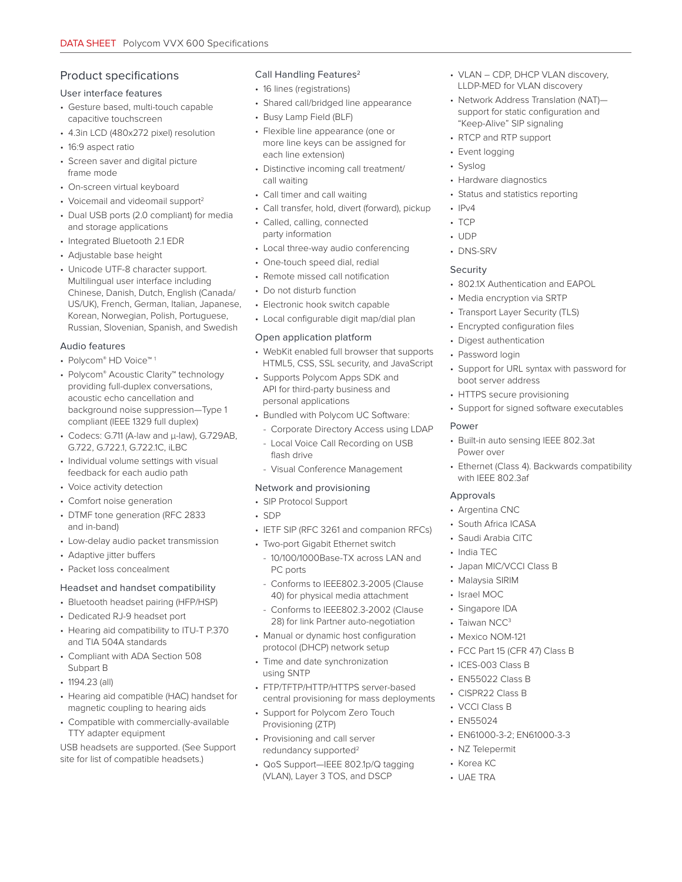# Product specifications

#### User interface features

- Gesture based, multi-touch capable capacitive touchscreen
- 4.3in LCD (480x272 pixel) resolution
- 16:9 aspect ratio
- Screen saver and digital picture frame mode
- On-screen virtual keyboard
- Voicemail and videomail support<sup>2</sup>
- Dual USB ports (2.0 compliant) for media and storage applications
- Integrated Bluetooth 2.1 EDR
- Adjustable base height
- Unicode UTF-8 character support. Multilingual user interface including Chinese, Danish, Dutch, English (Canada/ US/UK), French, German, Italian, Japanese, Korean, Norwegian, Polish, Portuguese, Russian, Slovenian, Spanish, and Swedish

### Audio features

- Polycom® HD Voice™ 1
- Polycom® Acoustic Clarity™ technology providing full-duplex conversations, acoustic echo cancellation and background noise suppression—Type 1 compliant (IEEE 1329 full duplex)
- Codecs: G.711 (A-law and μ-law), G.729AB, G.722, G.722.1, G.722.1C, iLBC
- Individual volume settings with visual feedback for each audio path
- Voice activity detection
- Comfort noise generation
- DTMF tone generation (RFC 2833 and in-band)
- Low-delay audio packet transmission
- Adaptive jitter buffers
- Packet loss concealment

# Headset and handset compatibility

# • Bluetooth headset pairing (HFP/HSP)

- Dedicated RJ-9 headset port
- Hearing aid compatibility to ITU-T P.370 and TIA 504A standards
- Compliant with ADA Section 508 Subpart B
- 1194.23 (all)
- Hearing aid compatible (HAC) handset for magnetic coupling to hearing aids
- Compatible with commercially-available TTY adapter equipment

USB headsets are supported. (See Support site for list of compatible headsets.)

#### Call Handling Features<sup>2</sup>

- 16 lines (registrations)
- Shared call/bridged line appearance
- Busy Lamp Field (BLF)
- Flexible line appearance (one or more line keys can be assigned for each line extension)
- Distinctive incoming call treatment/ call waiting
- Call timer and call waiting
- Call transfer, hold, divert (forward), pickup
- Called, calling, connected party information
- Local three-way audio conferencing
- One-touch speed dial, redial
- Remote missed call notification
- Do not disturb function
- Electronic hook switch capable
- Local configurable digit map/dial plan

### Open application platform

- WebKit enabled full browser that supports HTML5, CSS, SSL security, and JavaScript
- Supports Polycom Apps SDK and API for third-party business and personal applications
- Bundled with Polycom UC Software:
	- Corporate Directory Access using LDAP
	- Local Voice Call Recording on USB flash drive
	- Visual Conference Management

# Network and provisioning

- SIP Protocol Support
- SDP
- IETF SIP (RFC 3261 and companion RFCs)
- Two-port Gigabit Ethernet switch
	- 10/100/1000Base-TX across LAN and PC ports
- Conforms to IEEE802.3-2005 (Clause 40) for physical media attachment
- Conforms to IEEE802.3-2002 (Clause 28) for link Partner auto-negotiation
- Manual or dynamic host configuration protocol (DHCP) network setup
- Time and date synchronization using SNTP
- FTP/TFTP/HTTP/HTTPS server-based central provisioning for mass deployments
- Support for Polycom Zero Touch Provisioning (ZTP)
- Provisioning and call server redundancy supported<sup>2</sup>
- QoS Support—IEEE 802.1p/Q tagging (VLAN), Layer 3 TOS, and DSCP
- VLAN CDP, DHCP VLAN discovery, LLDP-MED for VLAN discovery
- Network Address Translation (NAT) support for static configuration and "Keep-Alive" SIP signaling
- RTCP and RTP support
- Event logging
- Syslog
- Hardware diagnostics
- Status and statistics reporting
- $\cdot$  IPv4
- TCP
- UDP
- DNS-SRV

# Security

- 802.1X Authentication and EAPOL
- Media encryption via SRTP
- Transport Layer Security (TLS)
- Encrypted configuration files
- Digest authentication
- Password login
- Support for URL syntax with password for boot server address
- HTTPS secure provisioning
- Support for signed software executables

### Power

- Built-in auto sensing IEEE 802.3at Power over
- Ethernet (Class 4). Backwards compatibility with IEEE 802.3af

# Approvals

- Argentina CNC
- South Africa ICASA
- Saudi Arabia CITC
- India TEC
- Japan MIC/VCCI Class B

• FCC Part 15 (CFR 47) Class B

• EN61000-3-2; EN61000-3-3

• Malaysia SIRIM • Israel MOC

• Singapore IDA • Taiwan NCC<sup>3</sup> • Mexico NOM-121

• ICES-003 Class B • EN55022 Class B • CISPR22 Class B • VCCI Class B • EN55024

• NZ Telepermit • Korea KC • UAE TRA